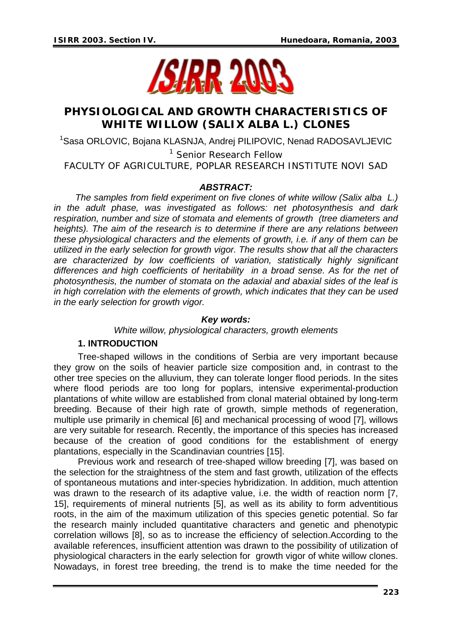

# **PHYSIOLOGICAL AND GROWTH CHARACTERISTICS OF WHITE WILLOW (***SALIX ALBA* **L.) CLONES**

<sup>1</sup>Sasa ORLOVIC, Bojana KLASNJA, Andrej PILIPOVIC, Nenad RADOSAVLJEVIC

<sup>1</sup> Senior Research Fellow

FACULTY OF AGRICULTURE, POPLAR RESEARCH INSTITUTE NOVI SAD

### *ABSTRACT:*

*The samples from field experiment on five clones of white willow (Salix alba L.) in the adult phase, was investigated as follows: net photosynthesis and dark respiration, number and size of stomata and elements of growth (tree diameters and heights). The aim of the research is to determine if there are any relations between these physiological characters and the elements of growth, i.e. if any of them can be utilized in the early selection for growth vigor. The results show that all the characters are characterized by low coefficients of variation, statistically highly significant differences and high coefficients of heritability in a broad sense. As for the net of photosynthesis, the number of stomata on the adaxial and abaxial sides of the leaf is in high correlation with the elements of growth, which indicates that they can be used in the early selection for growth vigor.* 

#### *Key words:*

*White willow, physiological characters, growth elements* 

### **1. INTRODUCTION**

 Tree-shaped willows in the conditions of Serbia are very important because they grow on the soils of heavier particle size composition and, in contrast to the other tree species on the alluvium, they can tolerate longer flood periods. In the sites where flood periods are too long for poplars, intensive experimental-production plantations of white willow are established from clonal material obtained by long-term breeding. Because of their high rate of growth, simple methods of regeneration, multiple use primarily in chemical [6] and mechanical processing of wood [7], willows are very suitable for research. Recently, the importance of this species has increased because of the creation of good conditions for the establishment of energy plantations, especially in the Scandinavian countries [15].

 Previous work and research of tree-shaped willow breeding [7], was based on the selection for the straightness of the stem and fast growth, utilization of the effects of spontaneous mutations and inter-species hybridization. In addition, much attention was drawn to the research of its adaptive value, i.e. the width of reaction norm [7, 15], requirements of mineral nutrients [5], as well as its ability to form adventitious roots, in the aim of the maximum utilization of this species genetic potential. So far the research mainly included quantitative characters and genetic and phenotypic correlation willows [8], so as to increase the efficiency of selection.According to the available references, insufficient attention was drawn to the possibility of utilization of physiological characters in the early selection for growth vigor of white willow clones. Nowadays, in forest tree breeding, the trend is to make the time needed for the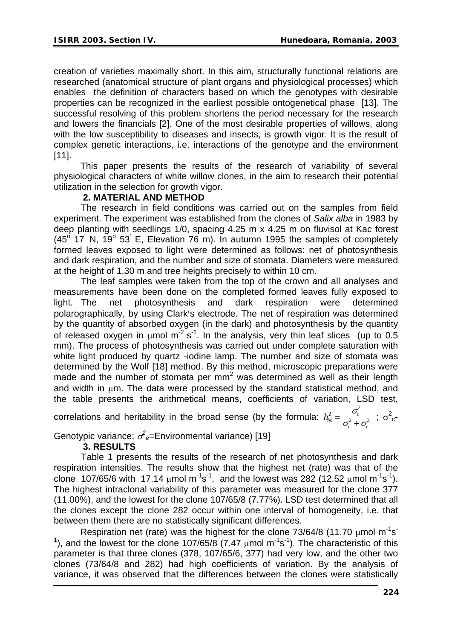creation of varieties maximally short. In this aim, structurally functional relations are researched (anatomical structure of plant organs and physiological processes) which enables the definition of characters based on which the genotypes with desirable properties can be recognized in the earliest possible ontogenetical phase [13]. The successful resolving of this problem shortens the period necessary for the research and lowers the financials [2]. One of the most desirable properties of willows, along with the low susceptibility to diseases and insects, is growth vigor. It is the result of complex genetic interactions, i.e. interactions of the genotype and the environment [11].

 This paper presents the results of the research of variability of several physiological characters of white willow clones, in the aim to research their potential utilization in the selection for growth vigor.

# **2. MATERIAL AND METHOD**

 The research in field conditions was carried out on the samples from field experiment. The experiment was established from the clones of *Salix alba* in 1983 by deep planting with seedlings 1/0, spacing 4.25 m x 4.25 m on fluvisol at Kac forest  $(45<sup>o</sup> 17<sup>o</sup> N, 19<sup>o</sup> 53<sup>o</sup> E, Elevation 76 m).$  In autumn 1995 the samples of completely formed leaves exposed to light were determined as follows: net of photosynthesis and dark respiration, and the number and size of stomata. Diameters were measured at the height of 1.30 m and tree heights precisely to within 10 cm.

 The leaf samples were taken from the top of the crown and all analyses and measurements have been done on the completed formed leaves fully exposed to light. The net photosynthesis and dark respiration were determined polarographically, by using Clark′s electrode. The net of respiration was determined by the quantity of absorbed oxygen (in the dark) and photosynthesis by the quantity of released oxygen in  $\mu$ mol m<sup>-2</sup> s<sup>-1</sup>. In the analysis, very thin leaf slices (up to 0.5) mm). The process of photosynthesis was carried out under complete saturation with white light produced by quartz -iodine lamp. The number and size of stomata was determined by the Wolf [18] method. By this method, microscopic preparations were made and the number of stomata per  $mm<sup>2</sup>$  was determined as well as their length and width in μm. The data were processed by the standard statistical method, and the table presents the arithmetical means, coefficients of variation, LSD test,

correlations and heritability in the broad sense (by the formula:  $h_{bs}^2 = \frac{b_{cs}^2}{\sigma_{ts}^2}$  $v_c$   $\tau$   $\sigma_e$ 2 2  $=\frac{\sigma_c}{\sigma_c^2+\sigma_e^2}$ ;  $\sigma_c^2$ 

Genotypic variance;  $\sigma^2$ <sub>e</sub>=Environmental variance) [19]

# **3. RESULTS**

 Table 1 presents the results of the research of net photosynthesis and dark respiration intensities. The results show that the highest net (rate) was that of the clone 107/65/6 with 17.14  $\mu$ mol m<sup>-1</sup>s<sup>-1</sup>, and the lowest was 282 (12.52  $\mu$ mol m<sup>-1</sup>s<sup>-1</sup>). The highest intraclonal variability of this parameter was measured for the clone 377 (11.00%), and the lowest for the clone 107/65/8 (7.77%). LSD test determined that all the clones except the clone 282 occur within one interval of homogeneity, i.e. that between them there are no statistically significant differences.

Respiration net (rate) was the highest for the clone  $73/64/8$  (11.70  $\mu$ mol m<sup>-1</sup>s<sup>-</sup> <sup>1</sup>), and the lowest for the clone 107/65/8 (7.47  $\mu$ mol m<sup>-1</sup>s<sup>-1</sup>). The characteristic of this parameter is that three clones (378, 107/65/6, 377) had very low, and the other two clones (73/64/8 and 282) had high coefficients of variation. By the analysis of variance, it was observed that the differences between the clones were statistically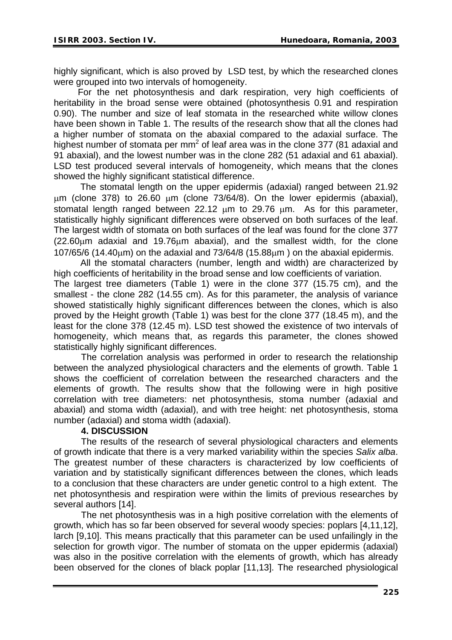highly significant, which is also proved by LSD test, by which the researched clones were grouped into two intervals of homogeneity.

 For the net photosynthesis and dark respiration, very high coefficients of heritability in the broad sense were obtained (photosynthesis 0.91 and respiration 0.90). The number and size of leaf stomata in the researched white willow clones have been shown in Table 1. The results of the research show that all the clones had a higher number of stomata on the abaxial compared to the adaxial surface. The highest number of stomata per mm<sup>2</sup> of leaf area was in the clone 377 (81 adaxial and 91 abaxial), and the lowest number was in the clone 282 (51 adaxial and 61 abaxial). LSD test produced several intervals of homogeneity, which means that the clones showed the highly significant statistical difference.

 The stomatal length on the upper epidermis (adaxial) ranged between 21.92 μm (clone 378) to 26.60 μm (clone 73/64/8). On the lower epidermis (abaxial), stomatal length ranged between 22.12  $\mu$ m to 29.76  $\mu$ m. As for this parameter, statistically highly significant differences were observed on both surfaces of the leaf. The largest width of stomata on both surfaces of the leaf was found for the clone 377 (22.60μm adaxial and 19.76μm abaxial), and the smallest width, for the clone 107/65/6 (14.40μm) on the adaxial and 73/64/8 (15.88μm ) on the abaxial epidermis.

 All the stomatal characters (number, length and width) are characterized by high coefficients of heritability in the broad sense and low coefficients of variation. The largest tree diameters (Table 1) were in the clone 377 (15.75 cm), and the smallest - the clone 282 (14.55 cm). As for this parameter, the analysis of variance showed statistically highly significant differences between the clones, which is also proved by the Height growth (Table 1) was best for the clone 377 (18.45 m), and the least for the clone 378 (12.45 m). LSD test showed the existence of two intervals of homogeneity, which means that, as regards this parameter, the clones showed statistically highly significant differences.

 The correlation analysis was performed in order to research the relationship between the analyzed physiological characters and the elements of growth. Table 1 shows the coefficient of correlation between the researched characters and the elements of growth. The results show that the following were in high positive correlation with tree diameters: net photosynthesis, stoma number (adaxial and abaxial) and stoma width (adaxial), and with tree height: net photosynthesis, stoma number (adaxial) and stoma width (adaxial).

# **4. DISCUSSION**

 The results of the research of several physiological characters and elements of growth indicate that there is a very marked variability within the species *Salix alba*. The greatest number of these characters is characterized by low coefficients of variation and by statistically significant differences between the clones, which leads to a conclusion that these characters are under genetic control to a high extent. The net photosynthesis and respiration were within the limits of previous researches by several authors [14].

The net photosynthesis was in a high positive correlation with the elements of growth, which has so far been observed for several woody species: poplars [4,11,12], larch [9,10]. This means practically that this parameter can be used unfailingly in the selection for growth vigor. The number of stomata on the upper epidermis (adaxial) was also in the positive correlation with the elements of growth, which has already been observed for the clones of black poplar [11,13]. The researched physiological